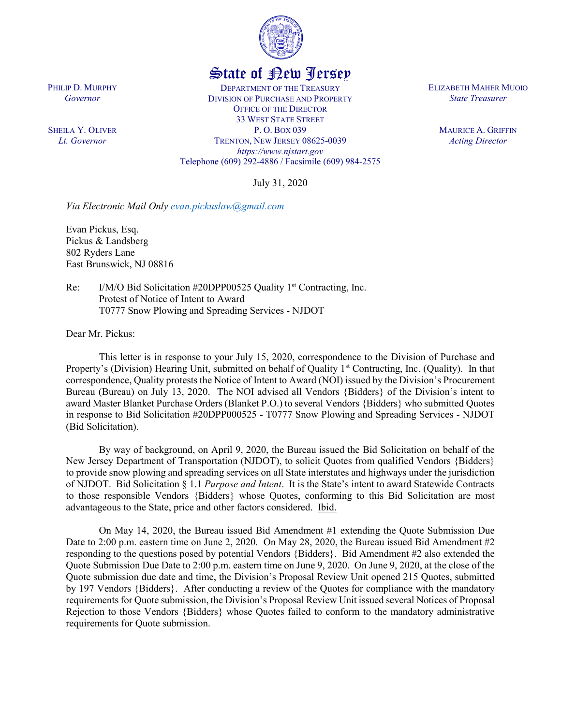

## State of New Jersey

DEPARTMENT OF THE TREASURY DIVISION OF PURCHASE AND PROPERTY OFFICE OF THE DIRECTOR 33 WEST STATE STREET P. O. BOX 039 TRENTON, NEW JERSEY 08625-0039 *https://www.njstart.gov* Telephone (609) 292-4886 / Facsimile (609) 984-2575

July 31, 2020

*Via Electronic Mail Only [evan.pickuslaw@gmail.com](mailto:evan.pickuslaw@gmail.com)* 

Evan Pickus, Esq. Pickus & Landsberg 802 Ryders Lane East Brunswick, NJ 08816

Re: I/M/O Bid Solicitation #20DPP00525 Quality 1<sup>st</sup> Contracting, Inc. Protest of Notice of Intent to Award T0777 Snow Plowing and Spreading Services - NJDOT

Dear Mr. Pickus:

This letter is in response to your July 15, 2020, correspondence to the Division of Purchase and Property's (Division) Hearing Unit, submitted on behalf of Quality 1<sup>st</sup> Contracting, Inc. (Quality). In that correspondence, Quality protests the Notice of Intent to Award (NOI) issued by the Division's Procurement Bureau (Bureau) on July 13, 2020. The NOI advised all Vendors {Bidders} of the Division's intent to award Master Blanket Purchase Orders (Blanket P.O.) to several Vendors {Bidders} who submitted Quotes in response to Bid Solicitation #20DPP000525 - T0777 Snow Plowing and Spreading Services - NJDOT (Bid Solicitation).

By way of background, on April 9, 2020, the Bureau issued the Bid Solicitation on behalf of the New Jersey Department of Transportation (NJDOT), to solicit Quotes from qualified Vendors {Bidders} to provide snow plowing and spreading services on all State interstates and highways under the jurisdiction of NJDOT. Bid Solicitation § 1.1 *Purpose and Intent*. It is the State's intent to award Statewide Contracts to those responsible Vendors {Bidders} whose Quotes, conforming to this Bid Solicitation are most advantageous to the State, price and other factors considered. Ibid.

On May 14, 2020, the Bureau issued Bid Amendment #1 extending the Quote Submission Due Date to 2:00 p.m. eastern time on June 2, 2020. On May 28, 2020, the Bureau issued Bid Amendment #2 responding to the questions posed by potential Vendors {Bidders}. Bid Amendment #2 also extended the Quote Submission Due Date to 2:00 p.m. eastern time on June 9, 2020. On June 9, 2020, at the close of the Quote submission due date and time, the Division's Proposal Review Unit opened 215 Quotes, submitted by 197 Vendors {Bidders}. After conducting a review of the Quotes for compliance with the mandatory requirements for Quote submission, the Division's Proposal Review Unit issued several Notices of Proposal Rejection to those Vendors {Bidders} whose Quotes failed to conform to the mandatory administrative requirements for Quote submission.

ELIZABETH MAHER MUOIO *State Treasurer*

> MAURICE A. GRIFFIN *Acting Director*

PHILIP D. MURPHY *Governor*

SHEILA Y. OLIVER *Lt. Governor*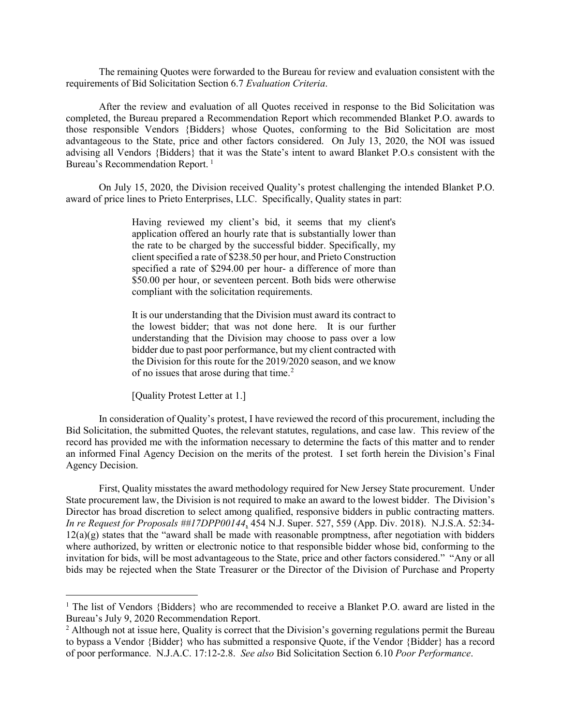The remaining Quotes were forwarded to the Bureau for review and evaluation consistent with the requirements of Bid Solicitation Section 6.7 *Evaluation Criteria*.

After the review and evaluation of all Quotes received in response to the Bid Solicitation was completed, the Bureau prepared a Recommendation Report which recommended Blanket P.O. awards to those responsible Vendors {Bidders} whose Quotes, conforming to the Bid Solicitation are most advantageous to the State, price and other factors considered. On July 13, 2020, the NOI was issued advising all Vendors {Bidders} that it was the State's intent to award Blanket P.O.s consistent with the Bureau's Recommendation Report.<sup>[1](#page-1-0)</sup>

On July 15, 2020, the Division received Quality's protest challenging the intended Blanket P.O. award of price lines to Prieto Enterprises, LLC. Specifically, Quality states in part:

> Having reviewed my client's bid, it seems that my client's application offered an hourly rate that is substantially lower than the rate to be charged by the successful bidder. Specifically, my client specified a rate of \$238.50 per hour, and Prieto Construction specified a rate of \$294.00 per hour- a difference of more than \$50.00 per hour, or seventeen percent. Both bids were otherwise compliant with the solicitation requirements.

> It is our understanding that the Division must award its contract to the lowest bidder; that was not done here. It is our further understanding that the Division may choose to pass over a low bidder due to past poor performance, but my client contracted with the Division for this route for the 2019/2020 season, and we know of no issues that arose during that time.[2](#page-1-1)

[Quality Protest Letter at 1.]

In consideration of Quality's protest, I have reviewed the record of this procurement, including the Bid Solicitation, the submitted Quotes, the relevant statutes, regulations, and case law. This review of the record has provided me with the information necessary to determine the facts of this matter and to render an informed Final Agency Decision on the merits of the protest. I set forth herein the Division's Final Agency Decision.

First, Quality misstates the award methodology required for New Jersey State procurement. Under State procurement law, the Division is not required to make an award to the lowest bidder. The Division's Director has broad discretion to select among qualified, responsive bidders in public contracting matters. *In re Request for Proposals ##17DPP00144*, 454 N.J. Super. 527, 559 (App. Div. 2018). N.J.S.A. 52:34-  $12(a)(g)$  states that the "award shall be made with reasonable promptness, after negotiation with bidders where authorized, by written or electronic notice to that responsible bidder whose bid, conforming to the invitation for bids, will be most advantageous to the State, price and other factors considered." "Any or all bids may be rejected when the State Treasurer or the Director of the Division of Purchase and Property

<span id="page-1-0"></span><sup>&</sup>lt;sup>1</sup> The list of Vendors {Bidders} who are recommended to receive a Blanket P.O. award are listed in the Bureau's July 9, 2020 Recommendation Report.

<span id="page-1-1"></span><sup>&</sup>lt;sup>2</sup> Although not at issue here, Quality is correct that the Division's governing regulations permit the Bureau to bypass a Vendor {Bidder} who has submitted a responsive Quote, if the Vendor {Bidder} has a record of poor performance. N.J.A.C. 17:12-2.8. *See also* Bid Solicitation Section 6.10 *Poor Performance*.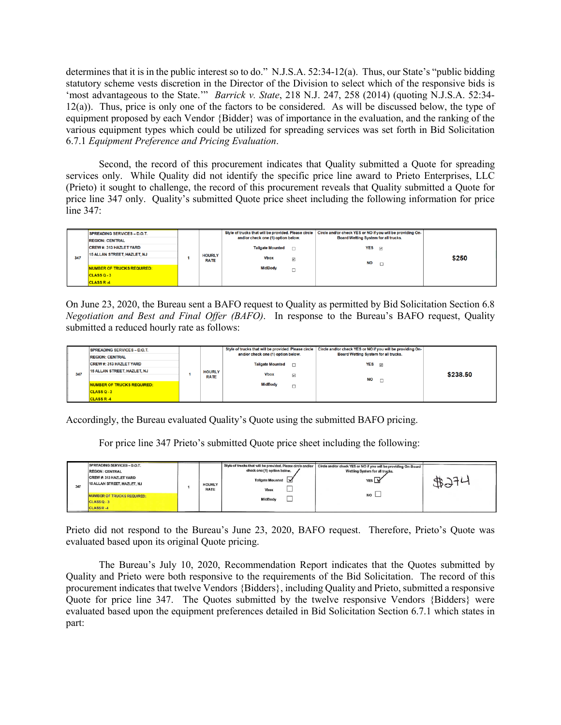determines that it is in the public interest so to do." N.J.S.A. 52:34-12(a). Thus, our State's "public bidding statutory scheme vests discretion in the Director of the Division to select which of the responsive bids is 'most advantageous to the State.'" *Barrick v. State*, 218 N.J. 247, 258 (2014) (quoting N.J.S.A. 52:34-12(a)). Thus, price is only one of the factors to be considered. As will be discussed below, the type of equipment proposed by each Vendor {Bidder} was of importance in the evaluation, and the ranking of the various equipment types which could be utilized for spreading services was set forth in Bid Solicitation 6.7.1 *Equipment Preference and Pricing Evaluation*.

Second, the record of this procurement indicates that Quality submitted a Quote for spreading services only. While Quality did not identify the specific price line award to Prieto Enterprises, LLC (Prieto) it sought to challenge, the record of this procurement reveals that Quality submitted a Quote for price line 347 only. Quality's submitted Quote price sheet including the following information for price line 347:

| 347 | <b>SPREADING SERVICES - D.O.T.</b><br><b>REGION: CENTRAL</b> |  | <b>HOURLY</b><br><b>RATE</b> | Style of trucks that will be provided. Please circle<br>and/or check one (1) option below. |                                                                  | Circle and/or check YES or NO if you will be providing On-<br>Board Wetting System for all trucks. |  |       |
|-----|--------------------------------------------------------------|--|------------------------------|--------------------------------------------------------------------------------------------|------------------------------------------------------------------|----------------------------------------------------------------------------------------------------|--|-------|
|     | <b>CREW #: 313 HAZLET YARD</b>                               |  |                              |                                                                                            | <b>YES</b><br><b>Tailgate Mounted</b><br>$\overline{\mathbf{v}}$ |                                                                                                    |  |       |
|     | 15 ALLAN STREET, HAZLET, NJ                                  |  |                              | <b>Vbox</b>                                                                                |                                                                  | <b>NO</b><br>$\Box$                                                                                |  | \$250 |
|     |                                                              |  |                              |                                                                                            | $\overline{\mathbf{v}}$                                          |                                                                                                    |  |       |
|     | <b>NUMBER OF TRUCKS REQUIRED:</b>                            |  |                              | <b>MidBody</b>                                                                             | -                                                                |                                                                                                    |  |       |
|     | CLASS Q-3                                                    |  |                              |                                                                                            |                                                                  |                                                                                                    |  |       |
|     | <b>CLASS R-4</b>                                             |  |                              |                                                                                            |                                                                  |                                                                                                    |  |       |

On June 23, 2020, the Bureau sent a BAFO request to Quality as permitted by Bid Solicitation Section 6.8 *Negotiation and Best and Final Offer (BAFO)*. In response to the Bureau's BAFO request, Quality submitted a reduced hourly rate as follows:

| 347 | <b>SPREADING SERVICES - D.O.T.</b><br><b>REGION: CENTRAL</b> | <b>HOURLY</b><br><b>RATE</b> | Style of trucks that will be provided. Please circle<br>and/or check one (1) option below. |                          | Circle and/or check YES or NO if you will be providing On-<br>Board Wetting System for all trucks. |                         |          |  |
|-----|--------------------------------------------------------------|------------------------------|--------------------------------------------------------------------------------------------|--------------------------|----------------------------------------------------------------------------------------------------|-------------------------|----------|--|
|     | <b>CREW#: 313 HAZLET YARD</b>                                |                              | <b>Tailgate Mounted</b>                                                                    |                          | <b>YES</b>                                                                                         | $\overline{\mathbf{v}}$ |          |  |
|     | 15 ALLAN STREET, HAZLET, NJ                                  |                              | <b>Vbox</b>                                                                                | $\overline{\mathbf{v}}$  | <b>NO</b>                                                                                          | $\Box$                  | \$238.50 |  |
|     | NUMBER OF TRUCKS REQUIRED:                                   |                              | <b>MidBody</b>                                                                             | $\overline{\phantom{0}}$ |                                                                                                    |                         |          |  |
|     | CLASS Q-3                                                    |                              |                                                                                            |                          |                                                                                                    |                         |          |  |
|     | <b>CLASS R-4</b>                                             |                              |                                                                                            |                          |                                                                                                    |                         |          |  |

Accordingly, the Bureau evaluated Quality's Quote using the submitted BAFO pricing.

For price line 347 Prieto's submitted Quote price sheet including the following:

| 347 | SPREADING SERVICES - D.O.T.<br><b>REGION: CENTRAL</b><br>CREW #: 313 HAZLET YARD<br>15 ALLAN STREET, HAZLET, NJ |  | <b>HOURLY</b><br><b>RATE</b> | Style of trucks that will be provided. Please circle and/or<br>check one (1) option below.<br><b>Tailgate Mounted</b><br>Vbox | Circle and/or check YES or NO if you will be providing On-Board<br>Wetting System for all trucks.<br>YES V |  |
|-----|-----------------------------------------------------------------------------------------------------------------|--|------------------------------|-------------------------------------------------------------------------------------------------------------------------------|------------------------------------------------------------------------------------------------------------|--|
|     | <b>NUMBER OF TRUCKS REQUIRED:</b><br>CLASSQ-3<br><b>CLASS R-4</b>                                               |  |                              | <b>Contract Contract</b><br>MidBody                                                                                           | <b>NO</b>                                                                                                  |  |

Prieto did not respond to the Bureau's June 23, 2020, BAFO request. Therefore, Prieto's Quote was evaluated based upon its original Quote pricing.

The Bureau's July 10, 2020, Recommendation Report indicates that the Quotes submitted by Quality and Prieto were both responsive to the requirements of the Bid Solicitation. The record of this procurement indicates that twelve Vendors {Bidders}, including Quality and Prieto, submitted a responsive Quote for price line 347. The Quotes submitted by the twelve responsive Vendors {Bidders} were evaluated based upon the equipment preferences detailed in Bid Solicitation Section 6.7.1 which states in part: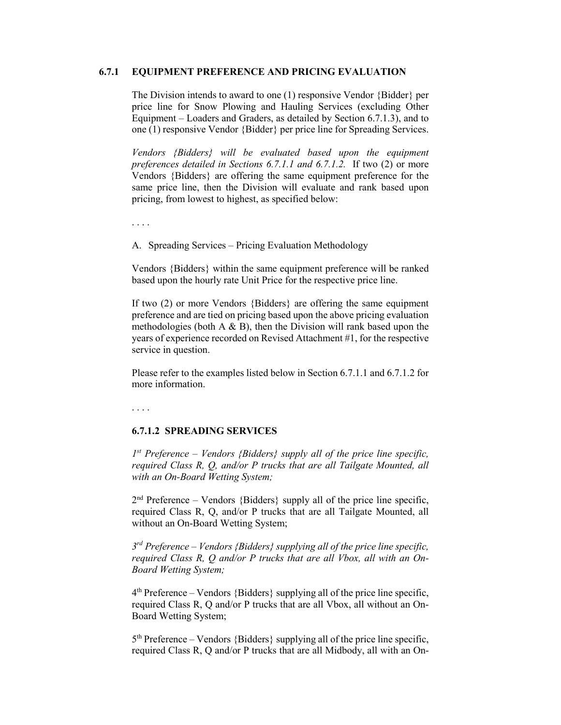## **6.7.1 EQUIPMENT PREFERENCE AND PRICING EVALUATION**

The Division intends to award to one (1) responsive Vendor {Bidder} per price line for Snow Plowing and Hauling Services (excluding Other Equipment – Loaders and Graders, as detailed by Section 6.7.1.3), and to one (1) responsive Vendor {Bidder} per price line for Spreading Services.

*Vendors {Bidders} will be evaluated based upon the equipment preferences detailed in Sections 6.7.1.1 and 6.7.1.2.* If two (2) or more Vendors {Bidders} are offering the same equipment preference for the same price line, then the Division will evaluate and rank based upon pricing, from lowest to highest, as specified below:

. . . .

A. Spreading Services – Pricing Evaluation Methodology

Vendors {Bidders} within the same equipment preference will be ranked based upon the hourly rate Unit Price for the respective price line.

If two (2) or more Vendors {Bidders} are offering the same equipment preference and are tied on pricing based upon the above pricing evaluation methodologies (both  $A \& B$ ), then the Division will rank based upon the years of experience recorded on Revised Attachment #1, for the respective service in question.

Please refer to the examples listed below in Section 6.7.1.1 and 6.7.1.2 for more information.

. . . .

## **6.7.1.2 SPREADING SERVICES**

*1st Preference – Vendors {Bidders} supply all of the price line specific, required Class R, Q, and/or P trucks that are all Tailgate Mounted, all with an On-Board Wetting System;*

 $2<sup>nd</sup>$  Preference – Vendors {Bidders} supply all of the price line specific, required Class R, Q, and/or P trucks that are all Tailgate Mounted, all without an On-Board Wetting System;

*3rd Preference – Vendors {Bidders} supplying all of the price line specific, required Class R, Q and/or P trucks that are all Vbox, all with an On-Board Wetting System;*

 $4<sup>th</sup>$  Preference – Vendors {Bidders} supplying all of the price line specific, required Class R, Q and/or P trucks that are all Vbox, all without an On-Board Wetting System;

5th Preference – Vendors {Bidders} supplying all of the price line specific, required Class R, Q and/or P trucks that are all Midbody, all with an On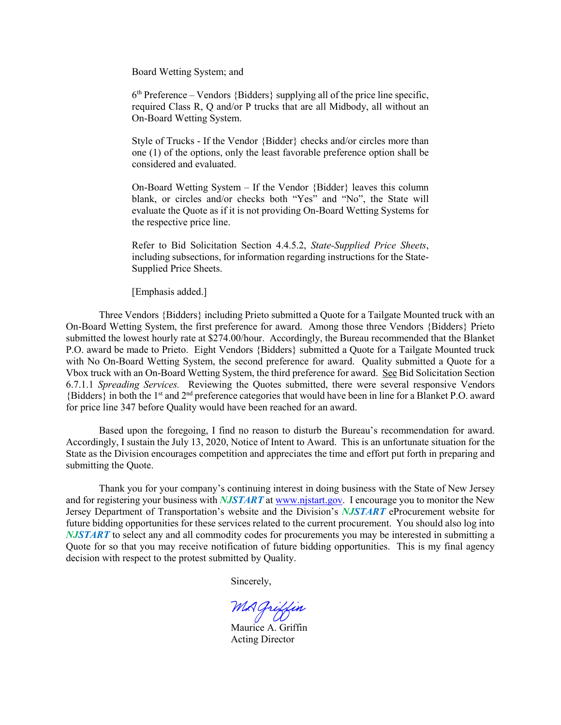Board Wetting System; and

 $6<sup>th</sup>$  Preference – Vendors {Bidders} supplying all of the price line specific, required Class R, Q and/or P trucks that are all Midbody, all without an On-Board Wetting System.

Style of Trucks - If the Vendor {Bidder} checks and/or circles more than one (1) of the options, only the least favorable preference option shall be considered and evaluated.

On-Board Wetting System – If the Vendor {Bidder} leaves this column blank, or circles and/or checks both "Yes" and "No", the State will evaluate the Quote as if it is not providing On-Board Wetting Systems for the respective price line.

Refer to Bid Solicitation Section 4.4.5.2, *State-Supplied Price Sheets*, including subsections, for information regarding instructions for the State-Supplied Price Sheets.

[Emphasis added.]

Three Vendors {Bidders} including Prieto submitted a Quote for a Tailgate Mounted truck with an On-Board Wetting System, the first preference for award. Among those three Vendors {Bidders} Prieto submitted the lowest hourly rate at \$274.00/hour. Accordingly, the Bureau recommended that the Blanket P.O. award be made to Prieto. Eight Vendors {Bidders} submitted a Quote for a Tailgate Mounted truck with No On-Board Wetting System, the second preference for award. Quality submitted a Quote for a Vbox truck with an On-Board Wetting System, the third preference for award. See Bid Solicitation Section 6.7.1.1 *Spreading Services.* Reviewing the Quotes submitted, there were several responsive Vendors {Bidders} in both the 1st and 2nd preference categories that would have been in line for a Blanket P.O. award for price line 347 before Quality would have been reached for an award.

Based upon the foregoing, I find no reason to disturb the Bureau's recommendation for award. Accordingly, I sustain the July 13, 2020, Notice of Intent to Award. This is an unfortunate situation for the State as the Division encourages competition and appreciates the time and effort put forth in preparing and submitting the Quote.

Thank you for your company's continuing interest in doing business with the State of New Jersey and for registering your business with *NJSTART* a[t www.njstart.gov.](http://www.njstart.gov/) I encourage you to monitor the New Jersey Department of Transportation's website and the Division's *NJSTART* eProcurement website for future bidding opportunities for these services related to the current procurement. You should also log into *NJSTART* to select any and all commodity codes for procurements you may be interested in submitting a Quote for so that you may receive notification of future bidding opportunities. This is my final agency decision with respect to the protest submitted by Quality.

Sincerely,

MA Griffin<br>Maurice A. Griffin

Acting Director